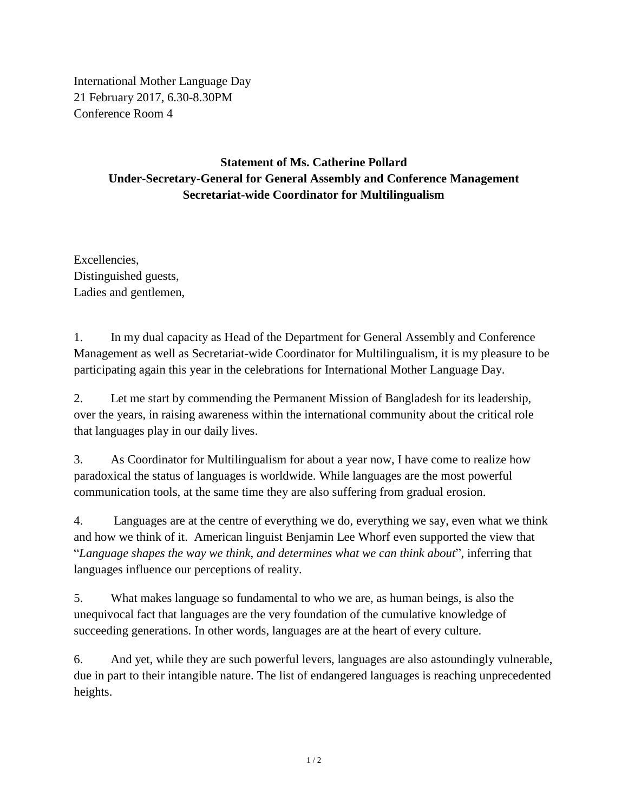International Mother Language Day 21 February 2017, 6.30-8.30PM Conference Room 4

## **Statement of Ms. Catherine Pollard Under-Secretary-General for General Assembly and Conference Management Secretariat-wide Coordinator for Multilingualism**

Excellencies, Distinguished guests, Ladies and gentlemen,

1. In my dual capacity as Head of the Department for General Assembly and Conference Management as well as Secretariat-wide Coordinator for Multilingualism, it is my pleasure to be participating again this year in the celebrations for International Mother Language Day.

2. Let me start by commending the Permanent Mission of Bangladesh for its leadership, over the years, in raising awareness within the international community about the critical role that languages play in our daily lives.

3. As Coordinator for Multilingualism for about a year now, I have come to realize how paradoxical the status of languages is worldwide. While languages are the most powerful communication tools, at the same time they are also suffering from gradual erosion.

4. Languages are at the centre of everything we do, everything we say, even what we think and how we think of it. American linguist Benjamin Lee Whorf even supported the view that "*Language shapes the way we think, and determines what we can think about*", inferring that languages influence our perceptions of reality.

5. What makes language so fundamental to who we are, as human beings, is also the unequivocal fact that languages are the very foundation of the cumulative knowledge of succeeding generations. In other words, languages are at the heart of every culture.

6. And yet, while they are such powerful levers, languages are also astoundingly vulnerable, due in part to their intangible nature. The list of endangered languages is reaching unprecedented heights.